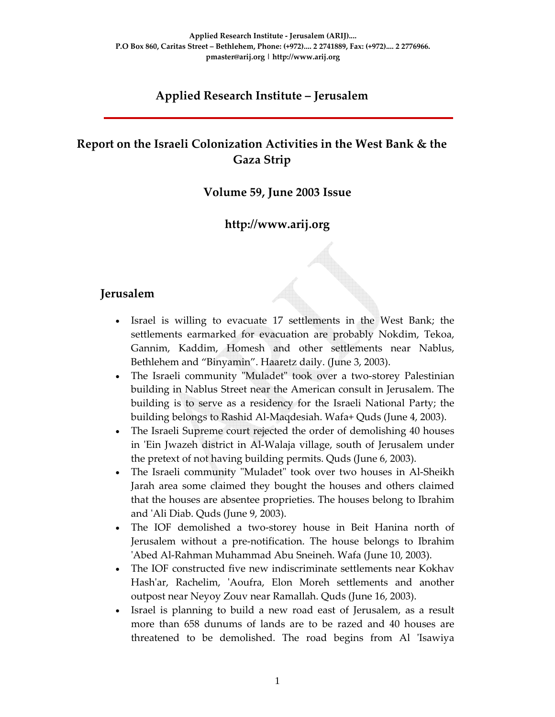# **Applied Research Institute – Jerusalem**

# **Report on the Israeli Colonization Activities in the West Bank & the Gaza Strip**

### **Volume 59, June 2003 Issue**

### **http://www.arij.org**

### **Jerusalem**

- Israel is willing to evacuate 17 settlements in the West Bank; the settlements earmarked for evacuation are probably Nokdim, Tekoa, Gannim, Kaddim, Homesh and other settlements near Nablus, Bethlehem and "Binyamin". Haaretz daily. (June 3, 2003).
- The Israeli community "Muladet" took over a two-storey Palestinian building in Nablus Street near the American consult in Jerusalem. The building is to serve as a residency for the Israeli National Party; the building belongs to Rashid Al‐Maqdesiah. Wafa+ Quds (June 4, 2003).
- The Israeli Supreme court rejected the order of demolishing 40 houses in 'Ein Jwazeh district in Al-Walaja village, south of Jerusalem under the pretext of not having building permits. Quds (June 6, 2003).
- The Israeli community "Muladet" took over two houses in Al-Sheikh Jarah area some claimed they bought the houses and others claimed that the houses are absentee proprieties. The houses belong to Ibrahim and ʹAli Diab. Quds (June 9, 2003).
- The IOF demolished a two-storey house in Beit Hanina north of Jerusalem without a pre‐notification. The house belongs to Ibrahim ʹAbed Al‐Rahman Muhammad Abu Sneineh. Wafa (June 10, 2003).
- The IOF constructed five new indiscriminate settlements near Kokhav Hash'ar, Rachelim, 'Aoufra, Elon Moreh settlements and another outpost near Neyoy Zouv near Ramallah. Quds (June 16, 2003).
- Israel is planning to build a new road east of Jerusalem, as a result more than 658 dunums of lands are to be razed and 40 houses are threatened to be demolished. The road begins from Al ʹIsawiya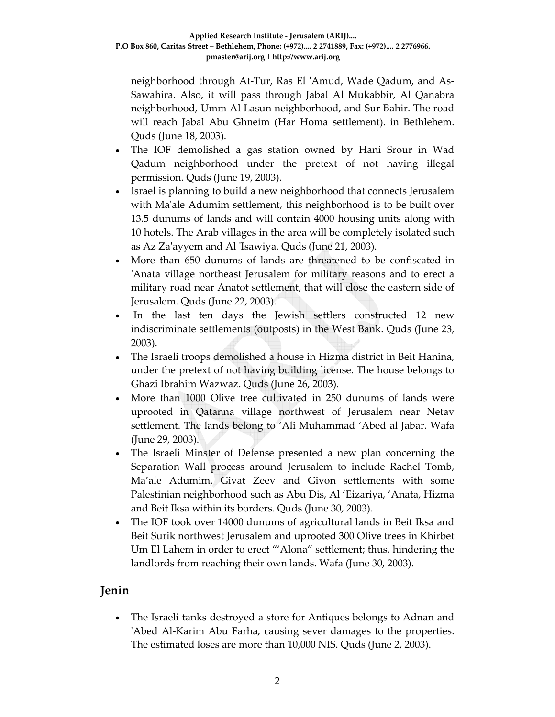neighborhood through At-Tur, Ras El 'Amud, Wade Qadum, and As-Sawahira. Also, it will pass through Jabal Al Mukabbir, Al Qanabra neighborhood, Umm Al Lasun neighborhood, and Sur Bahir. The road will reach Jabal Abu Ghneim (Har Homa settlement). in Bethlehem. Quds (June 18, 2003).

- The IOF demolished a gas station owned by Hani Srour in Wad Qadum neighborhood under the pretext of not having illegal permission. Quds (June 19, 2003).
- Israel is planning to build a new neighborhood that connects Jerusalem with Ma'ale Adumim settlement, this neighborhood is to be built over 13.5 dunums of lands and will contain 4000 housing units along with 10 hotels. The Arab villages in the area will be completely isolated such as Az Zaʹayyem and Al ʹIsawiya. Quds (June 21, 2003).
- More than 650 dunums of lands are threatened to be confiscated in ʹAnata village northeast Jerusalem for military reasons and to erect a military road near Anatot settlement, that will close the eastern side of Jerusalem. Quds (June 22, 2003).
- In the last ten days the Jewish settlers constructed 12 new indiscriminate settlements (outposts) in the West Bank. Quds (June 23, 2003).
- The Israeli troops demolished a house in Hizma district in Beit Hanina, under the pretext of not having building license. The house belongs to Ghazi Ibrahim Wazwaz. Quds (June 26, 2003).
- More than 1000 Olive tree cultivated in 250 dunums of lands were uprooted in Qatanna village northwest of Jerusalem near Netav settlement. The lands belong to 'Ali Muhammad 'Abed al Jabar. Wafa (June 29, 2003).
- The Israeli Minster of Defense presented a new plan concerning the Separation Wall process around Jerusalem to include Rachel Tomb, Ma'ale Adumim, Givat Zeev and Givon settlements with some Palestinian neighborhood such as Abu Dis, Al 'Eizariya, 'Anata, Hizma and Beit Iksa within its borders. Quds (June 30, 2003).
- The IOF took over 14000 dunums of agricultural lands in Beit Iksa and Beit Surik northwest Jerusalem and uprooted 300 Olive trees in Khirbet Um El Lahem in order to erect "'Alona" settlement; thus, hindering the landlords from reaching their own lands. Wafa (June 30, 2003).

# **Jenin**

• The Israeli tanks destroyed a store for Antiques belongs to Adnan and ʹAbed Al‐Karim Abu Farha, causing sever damages to the properties. The estimated loses are more than 10,000 NIS. Quds (June 2, 2003).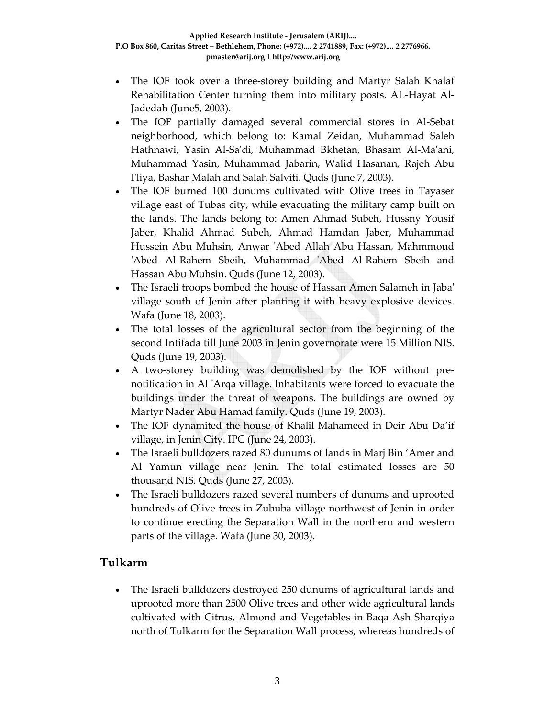- The IOF took over a three-storey building and Martyr Salah Khalaf Rehabilitation Center turning them into military posts. AL‐Hayat Al‐ Jadedah (June5, 2003).
- The IOF partially damaged several commercial stores in Al-Sebat neighborhood, which belong to: Kamal Zeidan, Muhammad Saleh Hathnawi, Yasin Al‐Saʹdi, Muhammad Bkhetan, Bhasam Al‐Maʹani, Muhammad Yasin, Muhammad Jabarin, Walid Hasanan, Rajeh Abu I'liya, Bashar Malah and Salah Salviti. Quds (June 7, 2003).
- The IOF burned 100 dunums cultivated with Olive trees in Tayaser village east of Tubas city, while evacuating the military camp built on the lands. The lands belong to: Amen Ahmad Subeh, Hussny Yousif Jaber, Khalid Ahmad Subeh, Ahmad Hamdan Jaber, Muhammad Hussein Abu Muhsin, Anwar ʹAbed Allah Abu Hassan, Mahmmoud 'Abed Al-Rahem Sbeih, Muhammad 'Abed Al-Rahem Sbeih and Hassan Abu Muhsin. Quds (June 12, 2003).
- The Israeli troops bombed the house of Hassan Amen Salameh in Jabaʹ village south of Jenin after planting it with heavy explosive devices. Wafa (June 18, 2003).
- The total losses of the agricultural sector from the beginning of the second Intifada till June 2003 in Jenin governorate were 15 Million NIS. Quds (June 19, 2003).
- A two-storey building was demolished by the IOF without prenotification in Al 'Arqa village. Inhabitants were forced to evacuate the buildings under the threat of weapons. The buildings are owned by Martyr Nader Abu Hamad family. Quds (June 19, 2003).
- The IOF dynamited the house of Khalil Mahameed in Deir Abu Da'if village, in Jenin City. IPC (June 24, 2003).
- The Israeli bulldozers razed 80 dunums of lands in Marj Bin 'Amer and Al Yamun village near Jenin. The total estimated losses are 50 thousand NIS. Quds (June 27, 2003).
- The Israeli bulldozers razed several numbers of dunums and uprooted hundreds of Olive trees in Zububa village northwest of Jenin in order to continue erecting the Separation Wall in the northern and western parts of the village. Wafa (June 30, 2003).

# **Tulkarm**

• The Israeli bulldozers destroyed 250 dunums of agricultural lands and uprooted more than 2500 Olive trees and other wide agricultural lands cultivated with Citrus, Almond and Vegetables in Baqa Ash Sharqiya north of Tulkarm for the Separation Wall process, whereas hundreds of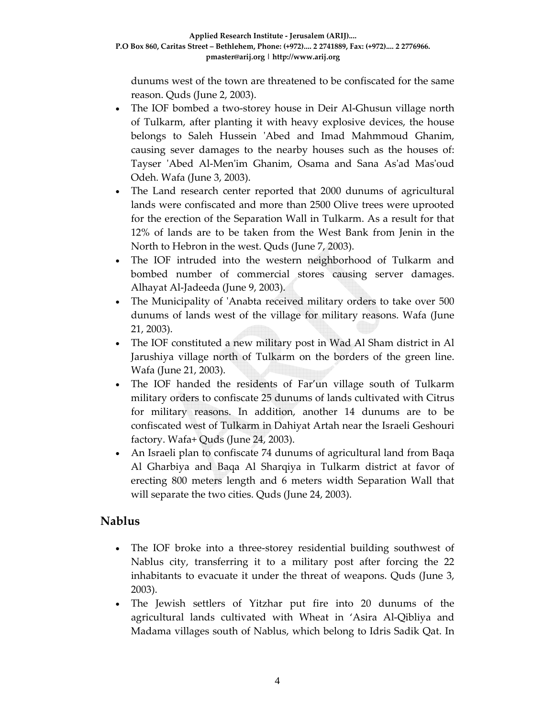dunums west of the town are threatened to be confiscated for the same reason. Quds (June 2, 2003).

- The IOF bombed a two-storey house in Deir Al-Ghusun village north of Tulkarm, after planting it with heavy explosive devices, the house belongs to Saleh Hussein 'Abed and Imad Mahmmoud Ghanim, causing sever damages to the nearby houses such as the houses of: Tayser 'Abed Al-Men'im Ghanim, Osama and Sana As'ad Mas'oud Odeh. Wafa (June 3, 2003).
- The Land research center reported that 2000 dunums of agricultural lands were confiscated and more than 2500 Olive trees were uprooted for the erection of the Separation Wall in Tulkarm. As a result for that 12% of lands are to be taken from the West Bank from Jenin in the North to Hebron in the west. Quds (June 7, 2003).
- The IOF intruded into the western neighborhood of Tulkarm and bombed number of commercial stores causing server damages. Alhayat Al‐Jadeeda (June 9, 2003).
- The Municipality of 'Anabta received military orders to take over 500 dunums of lands west of the village for military reasons. Wafa (June 21, 2003).
- The IOF constituted a new military post in Wad Al Sham district in Al Jarushiya village north of Tulkarm on the borders of the green line. Wafa (June 21, 2003).
- The IOF handed the residents of Far'un village south of Tulkarm military orders to confiscate 25 dunums of lands cultivated with Citrus for military reasons. In addition, another 14 dunums are to be confiscated west of Tulkarm in Dahiyat Artah near the Israeli Geshouri factory. Wafa+ Quds (June 24, 2003).
- An Israeli plan to confiscate 74 dunums of agricultural land from Baqa Al Gharbiya and Baqa Al Sharqiya in Tulkarm district at favor of erecting 800 meters length and 6 meters width Separation Wall that will separate the two cities. Quds (June 24, 2003).

# **Nablus**

- The IOF broke into a three-storey residential building southwest of Nablus city, transferring it to a military post after forcing the 22 inhabitants to evacuate it under the threat of weapons. Quds (June 3, 2003).
- The Jewish settlers of Yitzhar put fire into 20 dunums of the agricultural lands cultivated with Wheat in 'Asira Al‐Qibliya and Madama villages south of Nablus, which belong to Idris Sadik Qat. In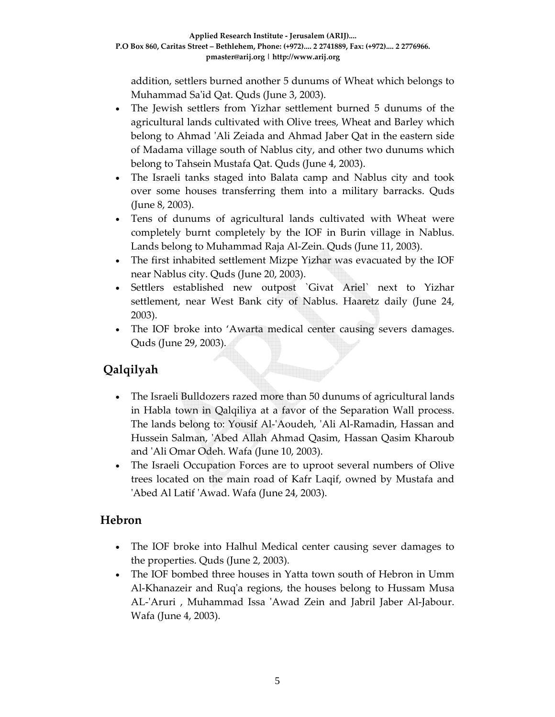addition, settlers burned another 5 dunums of Wheat which belongs to Muhammad Saʹid Qat. Quds (June 3, 2003).

- The Jewish settlers from Yizhar settlement burned 5 dunums of the agricultural lands cultivated with Olive trees, Wheat and Barley which belong to Ahmad 'Ali Zeiada and Ahmad Jaber Qat in the eastern side of Madama village south of Nablus city, and other two dunums which belong to Tahsein Mustafa Qat. Quds (June 4, 2003).
- The Israeli tanks staged into Balata camp and Nablus city and took over some houses transferring them into a military barracks. Quds (June 8, 2003).
- Tens of dunums of agricultural lands cultivated with Wheat were completely burnt completely by the IOF in Burin village in Nablus. Lands belong to Muhammad Raja Al‐Zein. Quds (June 11, 2003).
- The first inhabited settlement Mizpe Yizhar was evacuated by the IOF near Nablus city. Quds (June 20, 2003).
- Settlers established new outpost `Givat Ariel` next to Yizhar settlement, near West Bank city of Nablus. Haaretz daily (June 24, 2003).
- The IOF broke into 'Awarta medical center causing severs damages. Quds (June 29, 2003).

# **Qalqilyah**

- The Israeli Bulldozers razed more than 50 dunums of agricultural lands in Habla town in Qalqiliya at a favor of the Separation Wall process. The lands belong to: Yousif Al-'Aoudeh, 'Ali Al-Ramadin, Hassan and Hussein Salman, 'Abed Allah Ahmad Qasim, Hassan Qasim Kharoub and ʹAli Omar Odeh. Wafa (June 10, 2003).
- The Israeli Occupation Forces are to uproot several numbers of Olive trees located on the main road of Kafr Laqif, owned by Mustafa and ʹAbed Al Latif ʹAwad. Wafa (June 24, 2003).

# **Hebron**

- The IOF broke into Halhul Medical center causing sever damages to the properties. Quds (June 2, 2003).
- The IOF bombed three houses in Yatta town south of Hebron in Umm Al‐Khanazeir and Ruqʹa regions, the houses belong to Hussam Musa AL-'Aruri, Muhammad Issa 'Awad Zein and Jabril Jaber Al-Jabour. Wafa (June 4, 2003).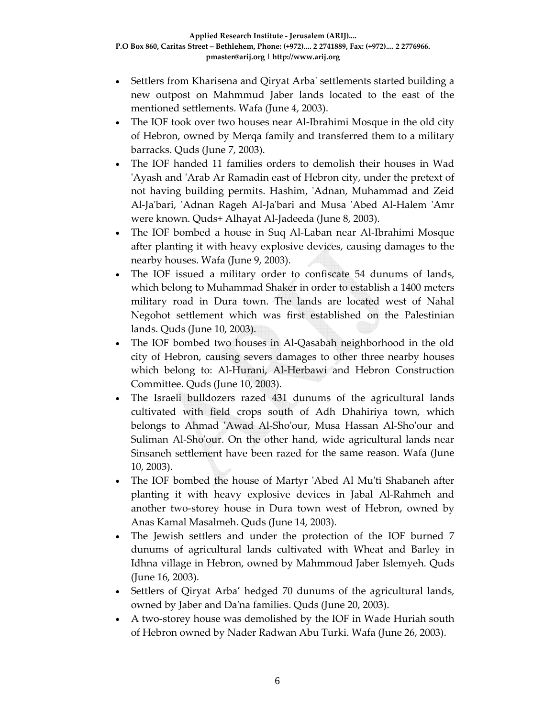- Settlers from Kharisena and Qiryat Arba' settlements started building a new outpost on Mahmmud Jaber lands located to the east of the mentioned settlements. Wafa (June 4, 2003).
- The IOF took over two houses near Al-Ibrahimi Mosque in the old city of Hebron, owned by Merqa family and transferred them to a military barracks. Quds (June 7, 2003).
- The IOF handed 11 families orders to demolish their houses in Wad 'Ayash and 'Arab Ar Ramadin east of Hebron city, under the pretext of not having building permits. Hashim, 'Adnan, Muhammad and Zeid Al‐Jaʹbari, ʹAdnan Rageh Al‐Jaʹbari and Musa ʹAbed Al‐Halem ʹAmr were known. Quds+ Alhayat Al‐Jadeeda (June 8, 2003).
- The IOF bombed a house in Suq Al‐Laban near Al‐Ibrahimi Mosque after planting it with heavy explosive devices, causing damages to the nearby houses. Wafa (June 9, 2003).
- The IOF issued a military order to confiscate 54 dunums of lands, which belong to Muhammad Shaker in order to establish a 1400 meters military road in Dura town. The lands are located west of Nahal Negohot settlement which was first established on the Palestinian lands. Quds (June 10, 2003).
- The IOF bombed two houses in Al-Qasabah neighborhood in the old city of Hebron, causing severs damages to other three nearby houses which belong to: Al-Hurani, Al-Herbawi and Hebron Construction Committee. Quds (June 10, 2003).
- The Israeli bulldozers razed 431 dunums of the agricultural lands cultivated with field crops south of Adh Dhahiriya town, which belongs to Ahmad 'Awad Al-Sho'our, Musa Hassan Al-Sho'our and Suliman Al‐Shoʹour. On the other hand, wide agricultural lands near Sinsaneh settlement have been razed for the same reason. Wafa (June 10, 2003).
- The IOF bombed the house of Martyr 'Abed Al Mu'ti Shabaneh after planting it with heavy explosive devices in Jabal Al‐Rahmeh and another two‐storey house in Dura town west of Hebron, owned by Anas Kamal Masalmeh. Quds (June 14, 2003).
- The Jewish settlers and under the protection of the IOF burned 7 dunums of agricultural lands cultivated with Wheat and Barley in Idhna village in Hebron, owned by Mahmmoud Jaber Islemyeh. Quds (June 16, 2003).
- Settlers of Qiryat Arba' hedged 70 dunums of the agricultural lands, owned by Jaber and Daʹna families. Quds (June 20, 2003).
- A two‐storey house was demolished by the IOF in Wade Huriah south of Hebron owned by Nader Radwan Abu Turki. Wafa (June 26, 2003).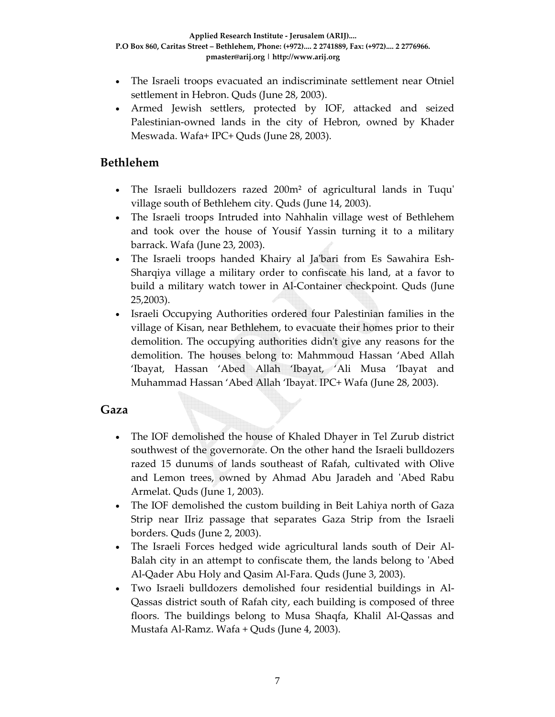- The Israeli troops evacuated an indiscriminate settlement near Otniel settlement in Hebron. Quds (June 28, 2003).
- Armed Jewish settlers, protected by IOF, attacked and seized Palestinian-owned lands in the city of Hebron, owned by Khader Meswada. Wafa+ IPC+ Quds (June 28, 2003).

### **Bethlehem**

- The Israeli bulldozers razed 200m<sup>2</sup> of agricultural lands in Tuqu' village south of Bethlehem city. Quds (June 14, 2003).
- The Israeli troops Intruded into Nahhalin village west of Bethlehem and took over the house of Yousif Yassin turning it to a military barrack. Wafa (June 23, 2003).
- The Israeli troops handed Khairy al Ja'bari from Es Sawahira Esh-Sharqiya village a military order to confiscate his land, at a favor to build a military watch tower in Al‐Container checkpoint. Quds (June 25,2003).
- Israeli Occupying Authorities ordered four Palestinian families in the village of Kisan, near Bethlehem, to evacuate their homes prior to their demolition. The occupying authorities didnʹt give any reasons for the demolition. The houses belong to: Mahmmoud Hassan 'Abed Allah 'Ibayat, Hassan 'Abed Allah 'Ibayat, 'Ali Musa 'Ibayat and Muhammad Hassan 'Abed Allah 'Ibayat. IPC+ Wafa (June 28, 2003).

### **Gaza**

- The IOF demolished the house of Khaled Dhayer in Tel Zurub district southwest of the governorate. On the other hand the Israeli bulldozers razed 15 dunums of lands southeast of Rafah, cultivated with Olive and Lemon trees, owned by Ahmad Abu Jaradeh and ʹAbed Rabu Armelat. Quds (June 1, 2003).
- The IOF demolished the custom building in Beit Lahiya north of Gaza Strip near IIriz passage that separates Gaza Strip from the Israeli borders. Quds (June 2, 2003).
- The Israeli Forces hedged wide agricultural lands south of Deir Al-Balah city in an attempt to confiscate them, the lands belong to ʹAbed Al‐Qader Abu Holy and Qasim Al‐Fara. Quds (June 3, 2003).
- Two Israeli bulldozers demolished four residential buildings in Al‐ Qassas district south of Rafah city, each building is composed of three floors. The buildings belong to Musa Shaqfa, Khalil Al‐Qassas and Mustafa Al‐Ramz. Wafa + Quds (June 4, 2003).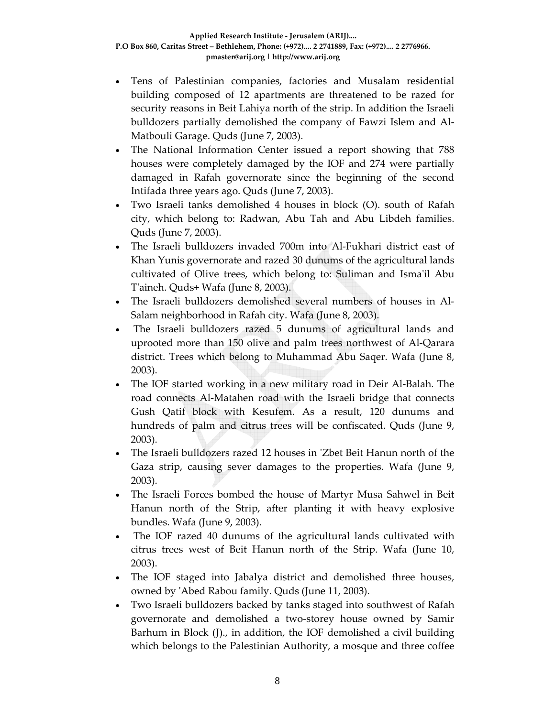- Tens of Palestinian companies, factories and Musalam residential building composed of 12 apartments are threatened to be razed for security reasons in Beit Lahiya north of the strip. In addition the Israeli bulldozers partially demolished the company of Fawzi Islem and Al‐ Matbouli Garage. Quds (June 7, 2003).
- The National Information Center issued a report showing that 788 houses were completely damaged by the IOF and 274 were partially damaged in Rafah governorate since the beginning of the second Intifada three years ago. Quds (June 7, 2003).
- Two Israeli tanks demolished 4 houses in block (O). south of Rafah city, which belong to: Radwan, Abu Tah and Abu Libdeh families. Quds (June 7, 2003).
- The Israeli bulldozers invaded 700m into Al‐Fukhari district east of Khan Yunis governorate and razed 30 dunums of the agricultural lands cultivated of Olive trees, which belong to: Suliman and Ismaʹil Abu Tʹaineh. Quds+ Wafa (June 8, 2003).
- The Israeli bulldozers demolished several numbers of houses in Al-Salam neighborhood in Rafah city. Wafa (June 8, 2003).
- The Israeli bulldozers razed 5 dunums of agricultural lands and uprooted more than 150 olive and palm trees northwest of Al‐Qarara district. Trees which belong to Muhammad Abu Saqer. Wafa (June 8, 2003).
- The IOF started working in a new military road in Deir Al‐Balah. The road connects Al‐Matahen road with the Israeli bridge that connects Gush Qatif block with Kesufem. As a result, 120 dunums and hundreds of palm and citrus trees will be confiscated. Quds (June 9, 2003).
- The Israeli bulldozers razed 12 houses in 'Zbet Beit Hanun north of the Gaza strip, causing sever damages to the properties. Wafa (June 9, 2003).
- The Israeli Forces bombed the house of Martyr Musa Sahwel in Beit Hanun north of the Strip, after planting it with heavy explosive bundles. Wafa (June 9, 2003).
- The IOF razed 40 dunums of the agricultural lands cultivated with citrus trees west of Beit Hanun north of the Strip. Wafa (June 10, 2003).
- The IOF staged into Jabalya district and demolished three houses, owned by ʹAbed Rabou family. Quds (June 11, 2003).
- Two Israeli bulldozers backed by tanks staged into southwest of Rafah governorate and demolished a two‐storey house owned by Samir Barhum in Block (J)., in addition, the IOF demolished a civil building which belongs to the Palestinian Authority, a mosque and three coffee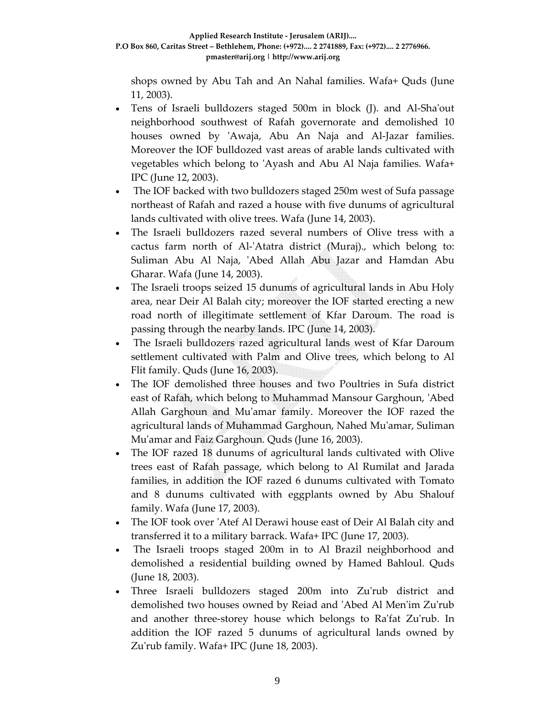shops owned by Abu Tah and An Nahal families. Wafa+ Quds (June 11, 2003).

- Tens of Israeli bulldozers staged 500m in block (J). and Al-Sha'out neighborhood southwest of Rafah governorate and demolished 10 houses owned by 'Awaja, Abu An Naja and Al-Jazar families. Moreover the IOF bulldozed vast areas of arable lands cultivated with vegetables which belong to ʹAyash and Abu Al Naja families. Wafa+ IPC (June 12, 2003).
- The IOF backed with two bulldozers staged 250m west of Sufa passage northeast of Rafah and razed a house with five dunums of agricultural lands cultivated with olive trees. Wafa (June 14, 2003).
- The Israeli bulldozers razed several numbers of Olive tress with a cactus farm north of Al-'Atatra district (Muraj)., which belong to: Suliman Abu Al Naja, 'Abed Allah Abu Jazar and Hamdan Abu Gharar. Wafa (June 14, 2003).
- The Israeli troops seized 15 dunums of agricultural lands in Abu Holy area, near Deir Al Balah city; moreover the IOF started erecting a new road north of illegitimate settlement of Kfar Daroum. The road is passing through the nearby lands. IPC (June 14, 2003).
- The Israeli bulldozers razed agricultural lands west of Kfar Daroum settlement cultivated with Palm and Olive trees, which belong to Al Flit family. Quds (June 16, 2003).
- The IOF demolished three houses and two Poultries in Sufa district east of Rafah, which belong to Muhammad Mansour Garghoun, ʹAbed Allah Garghoun and Muʹamar family. Moreover the IOF razed the agricultural lands of Muhammad Garghoun, Nahed Muʹamar, Suliman Mu'amar and Faiz Garghoun. Quds (June 16, 2003).
- The IOF razed 18 dunums of agricultural lands cultivated with Olive trees east of Rafah passage, which belong to Al Rumilat and Jarada families, in addition the IOF razed 6 dunums cultivated with Tomato and 8 dunums cultivated with eggplants owned by Abu Shalouf family. Wafa (June 17, 2003).
- The IOF took over 'Atef Al Derawi house east of Deir Al Balah city and transferred it to a military barrack. Wafa+ IPC (June 17, 2003).
- The Israeli troops staged 200m in to Al Brazil neighborhood and demolished a residential building owned by Hamed Bahloul. Quds (June 18, 2003).
- Three Israeli bulldozers staged 200m into Zuʹrub district and demolished two houses owned by Reiad and ʹAbed Al Menʹim Zuʹrub and another three-storey house which belongs to Ra'fat Zu'rub. In addition the IOF razed 5 dunums of agricultural lands owned by Zu'rub family. Wafa+ IPC (June 18, 2003).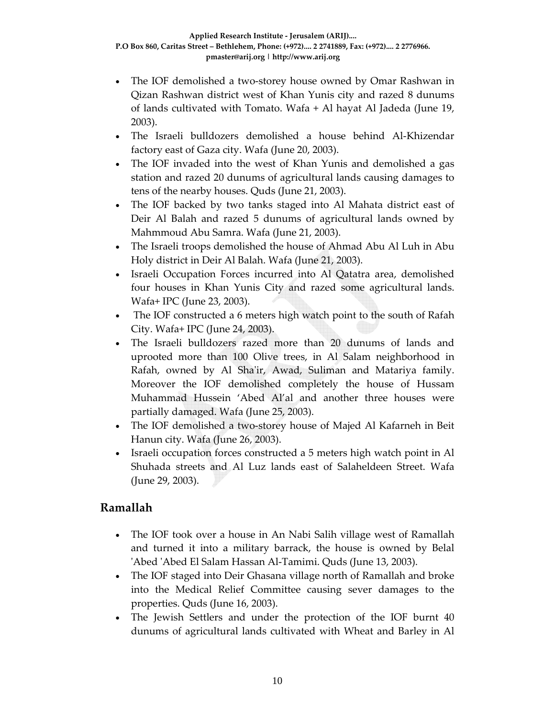- The IOF demolished a two-storey house owned by Omar Rashwan in Qizan Rashwan district west of Khan Yunis city and razed 8 dunums of lands cultivated with Tomato. Wafa + Al hayat Al Jadeda (June 19, 2003).
- The Israeli bulldozers demolished a house behind Al‐Khizendar factory east of Gaza city. Wafa (June 20, 2003).
- The IOF invaded into the west of Khan Yunis and demolished a gas station and razed 20 dunums of agricultural lands causing damages to tens of the nearby houses. Quds (June 21, 2003).
- The IOF backed by two tanks staged into Al Mahata district east of Deir Al Balah and razed 5 dunums of agricultural lands owned by Mahmmoud Abu Samra. Wafa (June 21, 2003).
- The Israeli troops demolished the house of Ahmad Abu Al Luh in Abu Holy district in Deir Al Balah. Wafa (June 21, 2003).
- Israeli Occupation Forces incurred into Al Qatatra area, demolished four houses in Khan Yunis City and razed some agricultural lands. Wafa+ IPC (June 23, 2003).
- The IOF constructed a 6 meters high watch point to the south of Rafah City. Wafa+ IPC (June 24, 2003).
- The Israeli bulldozers razed more than 20 dunums of lands and uprooted more than 100 Olive trees, in Al Salam neighborhood in Rafah, owned by Al Shaʹir, Awad, Suliman and Matariya family. Moreover the IOF demolished completely the house of Hussam Muhammad Hussein 'Abed Al'al and another three houses were partially damaged. Wafa (June 25, 2003).
- The IOF demolished a two-storey house of Majed Al Kafarneh in Beit Hanun city. Wafa (June 26, 2003).
- Israeli occupation forces constructed a 5 meters high watch point in Al Shuhada streets and Al Luz lands east of Salaheldeen Street. Wafa (June 29, 2003).

# **Ramallah**

- The IOF took over a house in An Nabi Salih village west of Ramallah and turned it into a military barrack, the house is owned by Belal ʹAbed ʹAbed El Salam Hassan Al‐Tamimi. Quds (June 13, 2003).
- The IOF staged into Deir Ghasana village north of Ramallah and broke into the Medical Relief Committee causing sever damages to the properties. Quds (June 16, 2003).
- The Jewish Settlers and under the protection of the IOF burnt 40 dunums of agricultural lands cultivated with Wheat and Barley in Al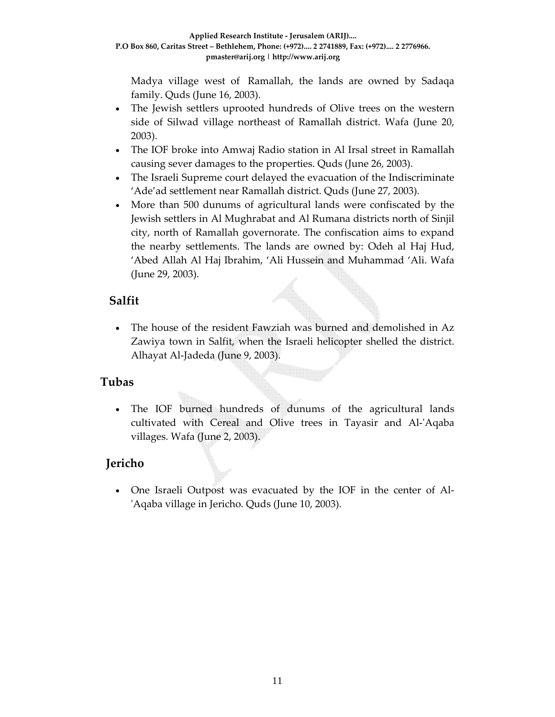Madya village west of Ramallah, the lands are owned by Sadaqa family. Quds (June 16, 2003).

- The Jewish settlers uprooted hundreds of Olive trees on the western side of Silwad village northeast of Ramallah district. Wafa (June 20, 2003).
- The IOF broke into Amwaj Radio station in Al Irsal street in Ramallah causing sever damages to the properties. Quds (June 26, 2003).
- The Israeli Supreme court delayed the evacuation of the Indiscriminate 'Ade'ad settlement near Ramallah district. Quds (June 27, 2003).
- More than 500 dunums of agricultural lands were confiscated by the Jewish settlers in Al Mughrabat and Al Rumana districts north of Sinjil city, north of Ramallah governorate. The confiscation aims to expand the nearby settlements. The lands are owned by: Odeh al Haj Hud, 'Abed Allah Al Haj Ibrahim, 'Ali Hussein and Muhammad 'Ali. Wafa (June 29, 2003).

### **Salfit**

• The house of the resident Fawziah was burned and demolished in Az Zawiya town in Salfit, when the Israeli helicopter shelled the district. Alhayat Al‐Jadeda (June 9, 2003).

### **Tubas**

The IOF burned hundreds of dunums of the agricultural lands cultivated with Cereal and Olive trees in Tayasir and Al‐ʹAqaba villages. Wafa (June 2, 2003).

# **Jericho**

• One Israeli Outpost was evacuated by the IOF in the center of Al‐ ʹAqaba village in Jericho. Quds (June 10, 2003).